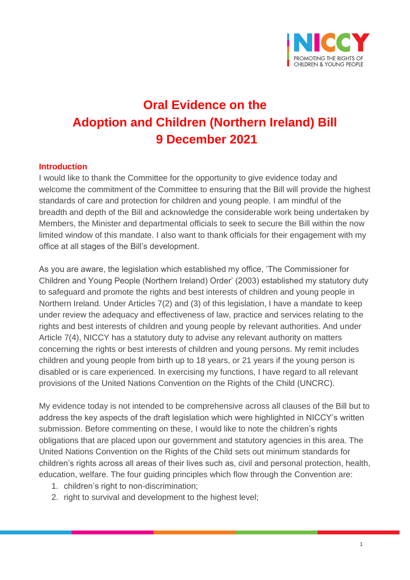

# **Oral Evidence on the Adoption and Children (Northern Ireland) Bill 9 December 2021**

#### **Introduction**

I would like to thank the Committee for the opportunity to give evidence today and welcome the commitment of the Committee to ensuring that the Bill will provide the highest standards of care and protection for children and young people. I am mindful of the breadth and depth of the Bill and acknowledge the considerable work being undertaken by Members, the Minister and departmental officials to seek to secure the Bill within the now limited window of this mandate. I also want to thank officials for their engagement with my office at all stages of the Bill's development.

As you are aware, the legislation which established my office, 'The Commissioner for Children and Young People (Northern Ireland) Order' (2003) established my statutory duty to safeguard and promote the rights and best interests of children and young people in Northern Ireland. Under Articles 7(2) and (3) of this legislation, I have a mandate to keep under review the adequacy and effectiveness of law, practice and services relating to the rights and best interests of children and young people by relevant authorities. And under Article 7(4), NICCY has a statutory duty to advise any relevant authority on matters concerning the rights or best interests of children and young persons. My remit includes children and young people from birth up to 18 years, or 21 years if the young person is disabled or is care experienced. In exercising my functions, I have regard to all relevant provisions of the United Nations Convention on the Rights of the Child (UNCRC).

My evidence today is not intended to be comprehensive across all clauses of the Bill but to address the key aspects of the draft legislation which were highlighted in NICCY's written submission. Before commenting on these, I would like to note the children's rights obligations that are placed upon our government and statutory agencies in this area. The United Nations Convention on the Rights of the Child sets out minimum standards for children's rights across all areas of their lives such as, civil and personal protection, health, education, welfare. The four guiding principles which flow through the Convention are:

- 1. children's right to non-discrimination;
- 2. right to survival and development to the highest level;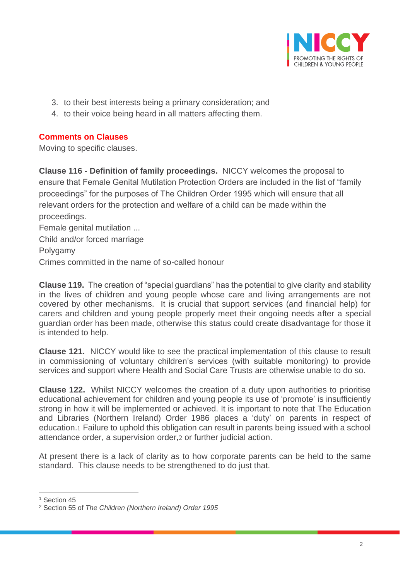

- 3. to their best interests being a primary consideration; and
- 4. to their voice being heard in all matters affecting them.

### **Comments on Clauses**

Moving to specific clauses.

**Clause 116 - Definition of family proceedings.** NICCY welcomes the proposal to ensure that Female Genital Mutilation Protection Orders are included in the list of "family proceedings" for the purposes of The Children Order 1995 which will ensure that all relevant orders for the protection and welfare of a child can be made within the proceedings.

Female genital mutilation ... Child and/or forced marriage Polygamy Crimes committed in the name of so-called honour

**Clause 119.** The creation of "special guardians" has the potential to give clarity and stability in the lives of children and young people whose care and living arrangements are not covered by other mechanisms. It is crucial that support services (and financial help) for carers and children and young people properly meet their ongoing needs after a special guardian order has been made, otherwise this status could create disadvantage for those it is intended to help.

**Clause 121.** NICCY would like to see the practical implementation of this clause to result in commissioning of voluntary children's services (with suitable monitoring) to provide services and support where Health and Social Care Trusts are otherwise unable to do so.

**Clause 122.** Whilst NICCY welcomes the creation of a duty upon authorities to prioritise educational achievement for children and young people its use of 'promote' is insufficiently strong in how it will be implemented or achieved. It is important to note that The Education and Libraries (Northern Ireland) Order 1986 places a 'duty' on parents in respect of education.1 Failure to uphold this obligation can result in parents being issued with a school attendance order, a supervision order,2 or further judicial action.

At present there is a lack of clarity as to how corporate parents can be held to the same standard. This clause needs to be strengthened to do just that.

<sup>&</sup>lt;sup>1</sup> Section 45

<sup>2</sup> Section 55 of *The Children (Northern Ireland) Order 1995*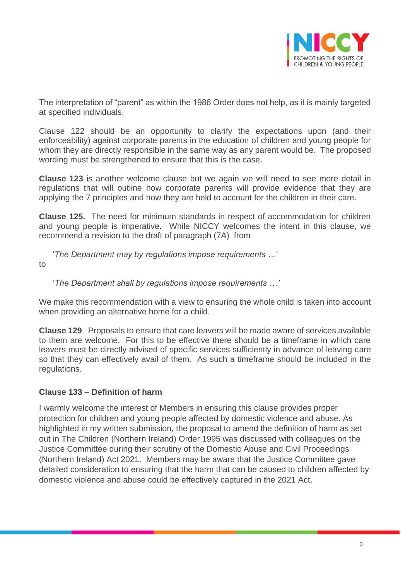

The interpretation of "parent" as within the 1986 Order does not help, as it is mainly targeted at specified individuals.

Clause 122 should be an opportunity to clarify the expectations upon (and their enforceability) against corporate parents in the education of children and young people for whom they are directly responsible in the same way as any parent would be. The proposed wording must be strengthened to ensure that this is the case.

**Clause 123** is another welcome clause but we again we will need to see more detail in regulations that will outline how corporate parents will provide evidence that they are applying the 7 principles and how they are held to account for the children in their care.

**Clause 125.** The need for minimum standards in respect of accommodation for children and young people is imperative. While NICCY welcomes the intent in this clause, we recommend a revision to the draft of paragraph (7A) from

'*The Department may by regulations impose requirements …*'

to

## '*The Department shall by regulations impose requirements …'*

We make this recommendation with a view to ensuring the whole child is taken into account when providing an alternative home for a child.

**Clause 129**. Proposals to ensure that care leavers will be made aware of services available to them are welcome. For this to be effective there should be a timeframe in which care leavers must be directly advised of specific services sufficiently in advance of leaving care so that they can effectively avail of them. As such a timeframe should be included in the regulations.

#### **Clause 133 – Definition of harm**

I warmly welcome the interest of Members in ensuring this clause provides proper protection for children and young people affected by domestic violence and abuse. As highlighted in my written submission, the proposal to amend the definition of harm as set out in The Children (Northern Ireland) Order 1995 was discussed with colleagues on the Justice Committee during their scrutiny of the Domestic Abuse and Civil Proceedings (Northern Ireland) Act 2021. Members may be aware that the Justice Committee gave detailed consideration to ensuring that the harm that can be caused to children affected by domestic violence and abuse could be effectively captured in the 2021 Act.